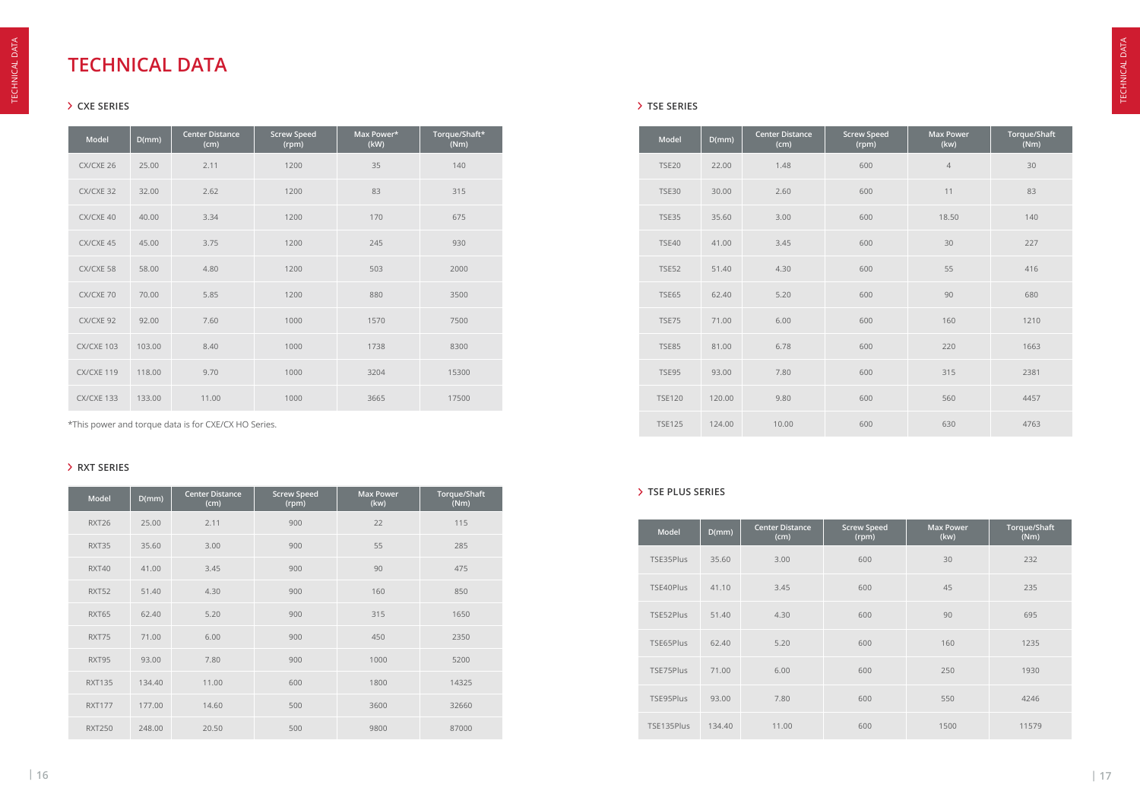\*This power and torque data is for CXE/CX HO Series.

### **CXE SERIES TSE SERIES**

# **TECHNICAL DATA**

| Model      | D(mm)  | <b>Center Distance</b><br>(cm) | <b>Screw Speed</b><br>(rpm) | Max Power*<br>(kW) | Torque/Shaft*<br>(Nm) |
|------------|--------|--------------------------------|-----------------------------|--------------------|-----------------------|
| CX/CXE 26  | 25.00  | 2.11                           | 1200                        | 35                 | 140                   |
| CX/CXE 32  | 32.00  | 2.62                           | 1200                        | 83                 | 315                   |
| CX/CXE 40  | 40.00  | 3.34                           | 1200                        | 170                | 675                   |
| CX/CXE 45  | 45.00  | 3.75                           | 1200                        | 245                | 930                   |
| CX/CXE 58  | 58.00  | 4.80                           | 1200                        | 503                | 2000                  |
| CX/CXE 70  | 70.00  | 5.85                           | 1200                        | 880                | 3500                  |
| CX/CXE 92  | 92.00  | 7.60                           | 1000                        | 1570               | 7500                  |
| CX/CXE 103 | 103.00 | 8.40                           | 1000                        | 1738               | 8300                  |
| CX/CXE 119 | 118.00 | 9.70                           | 1000                        | 3204               | 15300                 |
| CX/CXE 133 | 133.00 | 11.00                          | 1000                        | 3665               | 17500                 |

| Model         | D(mm)  | <b>Center Distance</b><br>(cm) | <b>Screw Speed</b><br>(rpm) | <b>Max Power</b><br>(kw) | Torque/Shaft<br>(Nm) |
|---------------|--------|--------------------------------|-----------------------------|--------------------------|----------------------|
| <b>TSE20</b>  | 22.00  | 1.48                           | 600                         | $\overline{4}$           | 30                   |
| <b>TSE30</b>  | 30.00  | 2.60                           | 600                         | 11                       | 83                   |
| <b>TSE35</b>  | 35.60  | 3.00                           | 600                         | 18.50                    | 140                  |
| <b>TSE40</b>  | 41.00  | 3.45                           | 600                         | 30                       | 227                  |
| <b>TSE52</b>  | 51.40  | 4.30                           | 600                         | 55                       | 416                  |
| <b>TSE65</b>  | 62.40  | 5.20                           | 600                         | 90                       | 680                  |
| <b>TSE75</b>  | 71.00  | 6.00                           | 600                         | 160                      | 1210                 |
| <b>TSE85</b>  | 81.00  | 6.78                           | 600                         | 220                      | 1663                 |
| <b>TSE95</b>  | 93.00  | 7.80                           | 600                         | 315                      | 2381                 |
| <b>TSE120</b> | 120.00 | 9.80                           | 600                         | 560                      | 4457                 |
| <b>TSE125</b> | 124.00 | 10.00                          | 600                         | 630                      | 4763                 |

#### **RXT SERIES**

| <b>Model</b>  | D(mm)  | <b>Center Distance</b><br>(cm) | <b>Screw Speed</b><br>(rpm) | <b>Max Power</b><br>(kw) | Torque/Shaft<br>(Nm) |
|---------------|--------|--------------------------------|-----------------------------|--------------------------|----------------------|
| RXT26         | 25.00  | 2.11                           | 900                         | 22                       | 115                  |
| RXT35         | 35.60  | 3.00                           | 900                         | 55                       | 285                  |
| RXT40         | 41.00  | 3.45                           | 900                         | 90                       | 475                  |
| RXT52         | 51.40  | 4.30                           | 900                         | 160                      | 850                  |
| RXT65         | 62.40  | 5.20                           | 900                         | 315                      | 1650                 |
| RXT75         | 71.00  | 6.00                           | 900                         | 450                      | 2350                 |
| RXT95         | 93.00  | 7.80                           | 900                         | 1000                     | 5200                 |
| <b>RXT135</b> | 134.40 | 11.00                          | 600                         | 1800                     | 14325                |
| <b>RXT177</b> | 177.00 | 14.60                          | 500                         | 3600                     | 32660                |
| <b>RXT250</b> | 248.00 | 20.50                          | 500                         | 9800                     | 87000                |

#### **TSE PLUS SERIES**

| <b>Model</b> | D(mm)  | <b>Center Distance</b><br>(cm) | <b>Screw Speed</b><br>(rpm) | <b>Max Power</b><br>(kw) | Torque/Shaft<br>(Nm) |
|--------------|--------|--------------------------------|-----------------------------|--------------------------|----------------------|
| TSE35Plus    | 35.60  | 3.00                           | 600                         | 30                       | 232                  |
| TSE40Plus    | 41.10  | 3.45                           | 600                         | 45                       | 235                  |
| TSE52Plus    | 51.40  | 4.30                           | 600                         | 90                       | 695                  |
| TSE65Plus    | 62.40  | 5.20                           | 600                         | 160                      | 1235                 |
| TSE75Plus    | 71.00  | 6.00                           | 600                         | 250                      | 1930                 |
| TSE95Plus    | 93.00  | 7.80                           | 600                         | 550                      | 4246                 |
| TSE135Plus   | 134.40 | 11.00                          | 600                         | 1500                     | 11579                |